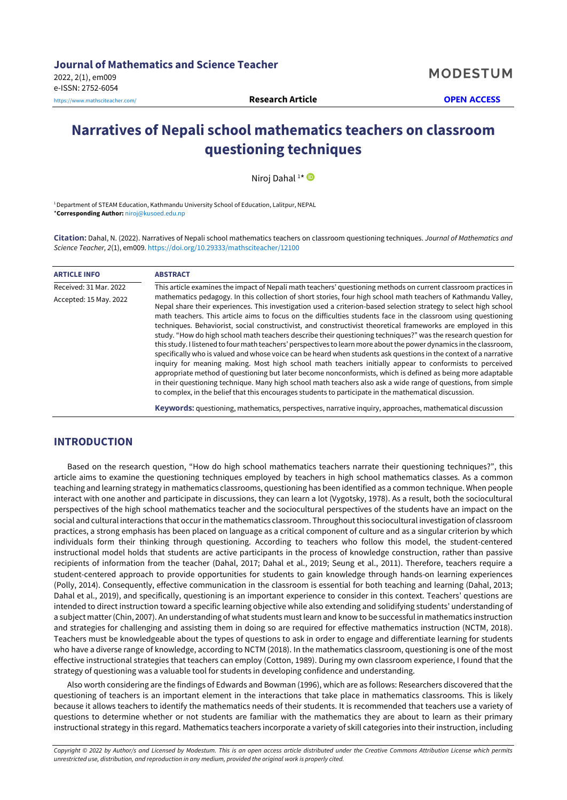**MODESTUM** 

# **Narratives of Nepali school mathematics teachers on classroom questioning techniques**

Niroj Dahal<sup>1\*</sup>

<sup>1</sup> Department of STEAM Education, Kathmandu University School of Education, Lalitpur, NEPAL \***Corresponding Author:** [niroj@kusoed.edu.np](mailto:niroj@kusoed.edu.np)

**Citation:** Dahal, N. (2022). Narratives of Nepali school mathematics teachers on classroom questioning techniques. *Journal of Mathematics and Science Teacher, 2*(1), em009. <https://doi.org/10.29333/mathsciteacher/12100>

| <b>ARTICLE INFO</b>    | <b>ABSTRACT</b>                                                                                                                                                                                                                                                                                                                                                                                                                                                                                                                                                                                                                                                                                                                                                                                                                                                                                                                                                                                                                                                                                                                                                                                                                                                                             |
|------------------------|---------------------------------------------------------------------------------------------------------------------------------------------------------------------------------------------------------------------------------------------------------------------------------------------------------------------------------------------------------------------------------------------------------------------------------------------------------------------------------------------------------------------------------------------------------------------------------------------------------------------------------------------------------------------------------------------------------------------------------------------------------------------------------------------------------------------------------------------------------------------------------------------------------------------------------------------------------------------------------------------------------------------------------------------------------------------------------------------------------------------------------------------------------------------------------------------------------------------------------------------------------------------------------------------|
| Received: 31 Mar. 2022 | This article examines the impact of Nepali math teachers' questioning methods on current classroom practices in                                                                                                                                                                                                                                                                                                                                                                                                                                                                                                                                                                                                                                                                                                                                                                                                                                                                                                                                                                                                                                                                                                                                                                             |
| Accepted: 15 May. 2022 | mathematics pedagogy. In this collection of short stories, four high school math teachers of Kathmandu Valley,<br>Nepal share their experiences. This investigation used a criterion-based selection strategy to select high school<br>math teachers. This article aims to focus on the difficulties students face in the classroom using questioning<br>techniques. Behaviorist, social constructivist, and constructivist theoretical frameworks are employed in this<br>study. "How do high school math teachers describe their questioning techniques?" was the research question for<br>this study. I listened to four math teachers' perspectives to learn more about the power dynamics in the classroom,<br>specifically who is valued and whose voice can be heard when students ask questions in the context of a narrative<br>inguiry for meaning making. Most high school math teachers initially appear to conformists to perceived<br>appropriate method of questioning but later become nonconformists, which is defined as being more adaptable<br>in their questioning technique. Many high school math teachers also ask a wide range of questions, from simple<br>to complex, in the belief that this encourages students to participate in the mathematical discussion. |
|                        | Keywords: questioning, mathematics, perspectives, narrative inquiry, approaches, mathematical discussion                                                                                                                                                                                                                                                                                                                                                                                                                                                                                                                                                                                                                                                                                                                                                                                                                                                                                                                                                                                                                                                                                                                                                                                    |

# **INTRODUCTION**

Based on the research question, "How do high school mathematics teachers narrate their questioning techniques?", this article aims to examine the questioning techniques employed by teachers in high school mathematics classes. As a common teaching and learning strategy in mathematics classrooms, questioning has been identified as a common technique. When people interact with one another and participate in discussions, they can learn a lot (Vygotsky, 1978). As a result, both the sociocultural perspectives of the high school mathematics teacher and the sociocultural perspectives of the students have an impact on the social and cultural interactions that occurin the mathematics classroom. Throughoutthis sociocultural investigation of classroom practices, a strong emphasis has been placed on language as a critical component of culture and as a singular criterion by which individuals form their thinking through questioning. According to teachers who follow this model, the student-centered instructional model holds that students are active participants in the process of knowledge construction, rather than passive recipients of information from the teacher (Dahal, 2017; Dahal et al., 2019; Seung et al., 2011). Therefore, teachers require a student-centered approach to provide opportunities for students to gain knowledge through hands-on learning experiences (Polly, 2014). Consequently, effective communication in the classroom is essential for both teaching and learning (Dahal, 2013; Dahal et al., 2019), and specifically, questioning is an important experience to consider in this context. Teachers' questions are intended to direct instruction toward a specific learning objective while also extending and solidifying students' understanding of a subject matter (Chin, 2007). An understanding of what students must learn and know to be successful in mathematics instruction and strategies for challenging and assisting them in doing so are required for effective mathematics instruction (NCTM, 2018). Teachers must be knowledgeable about the types of questions to ask in order to engage and differentiate learning for students who have a diverse range of knowledge, according to NCTM (2018). In the mathematics classroom, questioning is one of the most effective instructional strategies that teachers can employ (Cotton, 1989). During my own classroom experience, I found that the strategy of questioning was a valuable tool for students in developing confidence and understanding.

Also worth considering are the findings of Edwards and Bowman (1996), which are as follows: Researchers discovered that the questioning of teachers is an important element in the interactions that take place in mathematics classrooms. This is likely because it allows teachers to identify the mathematics needs of their students. It is recommended that teachers use a variety of questions to determine whether or not students are familiar with the mathematics they are about to learn as their primary instructional strategy in this regard. Mathematics teachers incorporate a variety of skill categories into their instruction, including

Copyright © 2022 by Author/s and Licensed by Modestum. This is an open access article distributed under the Creative Commons Attribution License which permits *unrestricted use, distribution, and reproduction in any medium, provided the original work is properly cited.*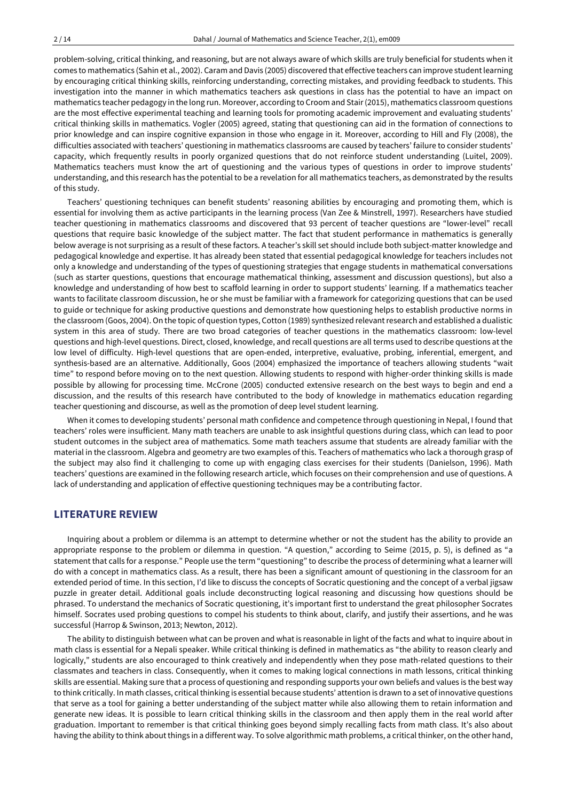problem-solving, critical thinking, and reasoning, but are not always aware of which skills are truly beneficial for students when it comes to mathematics (Sahin et al., 2002). Caram and Davis (2005) discovered that effective teachers can improve studentlearning by encouraging critical thinking skills, reinforcing understanding, correcting mistakes, and providing feedback to students. This investigation into the manner in which mathematics teachers ask questions in class has the potential to have an impact on mathematics teacher pedagogy in the long run. Moreover, according to Croom and Stair(2015), mathematics classroom questions are the most effective experimental teaching and learning tools for promoting academic improvement and evaluating students' critical thinking skills in mathematics. Vogler (2005) agreed, stating that questioning can aid in the formation of connections to prior knowledge and can inspire cognitive expansion in those who engage in it. Moreover, according to Hill and Fly (2008), the difficulties associated with teachers' questioning in mathematics classrooms are caused by teachers' failure to consider students' capacity, which frequently results in poorly organized questions that do not reinforce student understanding (Luitel, 2009). Mathematics teachers must know the art of questioning and the various types of questions in order to improve students' understanding, and this research has the potential to be a revelation for all mathematics teachers, as demonstrated by the results of this study.

Teachers' questioning techniques can benefit students' reasoning abilities by encouraging and promoting them, which is essential for involving them as active participants in the learning process (Van Zee & Minstrell, 1997). Researchers have studied teacher questioning in mathematics classrooms and discovered that 93 percent of teacher questions are "lower-level" recall questions that require basic knowledge of the subject matter. The fact that student performance in mathematics is generally below average is not surprising as a result of these factors. A teacher's skill set should include both subject-matter knowledge and pedagogical knowledge and expertise. It has already been stated that essential pedagogical knowledge for teachers includes not only a knowledge and understanding of the types of questioning strategies that engage students in mathematical conversations (such as starter questions, questions that encourage mathematical thinking, assessment and discussion questions), but also a knowledge and understanding of how best to scaffold learning in order to support students' learning. If a mathematics teacher wants to facilitate classroom discussion, he or she must be familiar with a framework for categorizing questions that can be used to guide or technique for asking productive questions and demonstrate how questioning helps to establish productive norms in the classroom (Goos, 2004). On the topic of question types, Cotton (1989) synthesized relevantresearch and established a dualistic system in this area of study. There are two broad categories of teacher questions in the mathematics classroom: low-level questions and high-level questions. Direct, closed, knowledge, and recall questions are all terms used to describe questions at the low level of difficulty. High-level questions that are open-ended, interpretive, evaluative, probing, inferential, emergent, and synthesis-based are an alternative. Additionally, Goos (2004) emphasized the importance of teachers allowing students "wait time" to respond before moving on to the next question. Allowing students to respond with higher-order thinking skills is made possible by allowing for processing time. McCrone (2005) conducted extensive research on the best ways to begin and end a discussion, and the results of this research have contributed to the body of knowledge in mathematics education regarding teacher questioning and discourse, as well as the promotion of deep level student learning.

When it comes to developing students' personal math confidence and competence through questioning in Nepal, I found that teachers' roles were insufficient. Many math teachers are unable to ask insightful questions during class, which can lead to poor student outcomes in the subject area of mathematics. Some math teachers assume that students are already familiar with the material in the classroom. Algebra and geometry are two examples of this. Teachers of mathematics who lack a thorough grasp of the subject may also find it challenging to come up with engaging class exercises for their students (Danielson, 1996). Math teachers' questions are examined in the following research article, which focuses on their comprehension and use of questions. A lack of understanding and application of effective questioning techniques may be a contributing factor.

## **LITERATURE REVIEW**

Inquiring about a problem or dilemma is an attempt to determine whether or not the student has the ability to provide an appropriate response to the problem or dilemma in question. "A question," according to Seime (2015, p. 5), is defined as "a statement that calls for a response." People use the term "questioning" to describe the process of determining what a learner will do with a concept in mathematics class. As a result, there has been a significant amount of questioning in the classroom for an extended period of time. In this section, I'd like to discuss the concepts of Socratic questioning and the concept of a verbal jigsaw puzzle in greater detail. Additional goals include deconstructing logical reasoning and discussing how questions should be phrased. To understand the mechanics of Socratic questioning, it's important first to understand the great philosopher Socrates himself. Socrates used probing questions to compel his students to think about, clarify, and justify their assertions, and he was successful (Harrop & Swinson, 2013; Newton, 2012).

The ability to distinguish between what can be proven and what is reasonable in light of the facts and what to inquire about in math class is essential for a Nepali speaker. While critical thinking is defined in mathematics as "the ability to reason clearly and logically," students are also encouraged to think creatively and independently when they pose math-related questions to their classmates and teachers in class. Consequently, when it comes to making logical connections in math lessons, critical thinking skills are essential. Making sure that a process of questioning and responding supports your own beliefs and values is the best way to think critically. In math classes, criticalthinking is essential because students' attention is drawn to a set of innovative questions that serve as a tool for gaining a better understanding of the subject matter while also allowing them to retain information and generate new ideas. It is possible to learn critical thinking skills in the classroom and then apply them in the real world after graduation. Important to remember is that critical thinking goes beyond simply recalling facts from math class. It's also about having the ability to think about things in a different way. To solve algorithmic math problems, a critical thinker, on the other hand,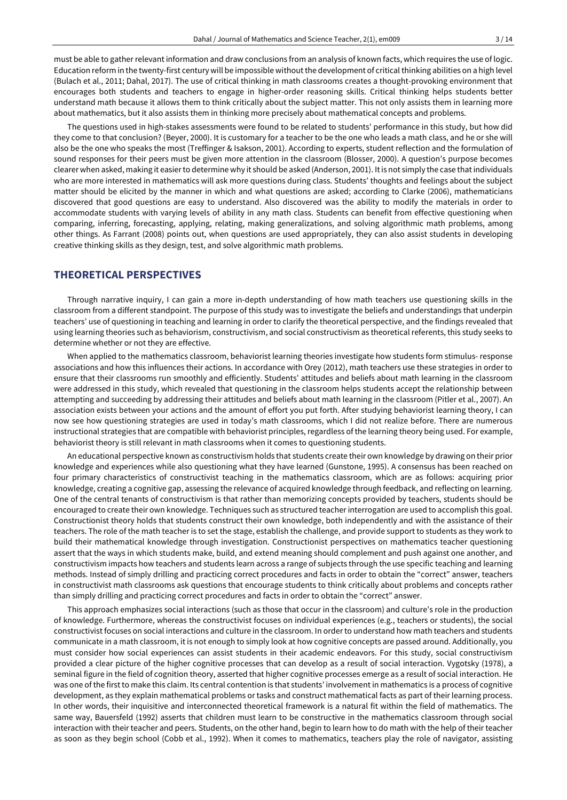must be able to gather relevant information and draw conclusions from an analysis of known facts, which requires the use of logic. Education reform in the twenty-first century will be impossible without the development of critical thinking abilities on a high level (Bulach et al., 2011; Dahal, 2017). The use of critical thinking in math classrooms creates a thought-provoking environment that encourages both students and teachers to engage in higher-order reasoning skills. Critical thinking helps students better understand math because it allows them to think critically about the subject matter. This not only assists them in learning more about mathematics, but it also assists them in thinking more precisely about mathematical concepts and problems.

The questions used in high-stakes assessments were found to be related to students' performance in this study, but how did they come to that conclusion? (Beyer, 2000). It is customary for a teacher to be the one who leads a math class, and he or she will also be the one who speaks the most (Treffinger & Isakson, 2001). According to experts, student reflection and the formulation of sound responses for their peers must be given more attention in the classroom (Blosser, 2000). A question's purpose becomes clearer when asked, making it easier to determine why it should be asked (Anderson, 2001). It is not simply the case that individuals who are more interested in mathematics will ask more questions during class. Students' thoughts and feelings about the subject matter should be elicited by the manner in which and what questions are asked; according to Clarke (2006), mathematicians discovered that good questions are easy to understand. Also discovered was the ability to modify the materials in order to accommodate students with varying levels of ability in any math class. Students can benefit from effective questioning when comparing, inferring, forecasting, applying, relating, making generalizations, and solving algorithmic math problems, among other things. As Farrant (2008) points out, when questions are used appropriately, they can also assist students in developing creative thinking skills as they design, test, and solve algorithmic math problems.

## **THEORETICAL PERSPECTIVES**

Through narrative inquiry, I can gain a more in-depth understanding of how math teachers use questioning skills in the classroom from a different standpoint. The purpose of this study was to investigate the beliefs and understandings that underpin teachers' use of questioning in teaching and learning in order to clarify the theoretical perspective, and the findings revealed that using learning theories such as behaviorism, constructivism, and social constructivism as theoretical referents, this study seeks to determine whether or not they are effective.

When applied to the mathematics classroom, behaviorist learning theories investigate how students form stimulus- response associations and how this influences their actions. In accordance with Orey (2012), math teachers use these strategies in order to ensure that their classrooms run smoothly and efficiently. Students' attitudes and beliefs about math learning in the classroom were addressed in this study, which revealed that questioning in the classroom helps students accept the relationship between attempting and succeeding by addressing their attitudes and beliefs about math learning in the classroom (Pitler et al., 2007). An association exists between your actions and the amount of effort you put forth. After studying behaviorist learning theory, I can now see how questioning strategies are used in today's math classrooms, which I did not realize before. There are numerous instructional strategies that are compatible with behaviorist principles, regardless of the learning theory being used. For example, behaviorist theory is still relevant in math classrooms when it comes to questioning students.

An educational perspective known as constructivism holds that students create their own knowledge by drawing on their prior knowledge and experiences while also questioning what they have learned (Gunstone, 1995). A consensus has been reached on four primary characteristics of constructivist teaching in the mathematics classroom, which are as follows: acquiring prior knowledge, creating a cognitive gap, assessing the relevance of acquired knowledge through feedback, and reflecting on learning. One of the central tenants of constructivism is that rather than memorizing concepts provided by teachers, students should be encouraged to create their own knowledge. Techniques such as structured teacherinterrogation are used to accomplish this goal. Constructionist theory holds that students construct their own knowledge, both independently and with the assistance of their teachers. The role of the math teacher is to set the stage, establish the challenge, and provide support to students as they work to build their mathematical knowledge through investigation. Constructionist perspectives on mathematics teacher questioning assert that the ways in which students make, build, and extend meaning should complement and push against one another, and constructivism impacts how teachers and students learn across a range of subjects through the use specific teaching and learning methods. Instead of simply drilling and practicing correct procedures and facts in order to obtain the "correct" answer, teachers in constructivist math classrooms ask questions that encourage students to think critically about problems and concepts rather than simply drilling and practicing correct procedures and facts in order to obtain the "correct" answer.

This approach emphasizes social interactions (such as those that occur in the classroom) and culture's role in the production of knowledge. Furthermore, whereas the constructivist focuses on individual experiences (e.g., teachers or students), the social constructivist focuses on social interactions and culture in the classroom. In orderto understand how math teachers and students communicate in a math classroom, it is not enough to simply look at how cognitive concepts are passed around. Additionally, you must consider how social experiences can assist students in their academic endeavors. For this study, social constructivism provided a clear picture of the higher cognitive processes that can develop as a result of social interaction. Vygotsky (1978), a seminal figure in the field of cognition theory, asserted that higher cognitive processes emerge as a result of social interaction. He was one of the firstto make this claim. Its central contention is that students' involvement in mathematics is a process of cognitive development, as they explain mathematical problems or tasks and construct mathematical facts as part of their learning process. In other words, their inquisitive and interconnected theoretical framework is a natural fit within the field of mathematics. The same way, Bauersfeld (1992) asserts that children must learn to be constructive in the mathematics classroom through social interaction with their teacher and peers. Students, on the other hand, begin to learn how to do math with the help of their teacher as soon as they begin school (Cobb et al., 1992). When it comes to mathematics, teachers play the role of navigator, assisting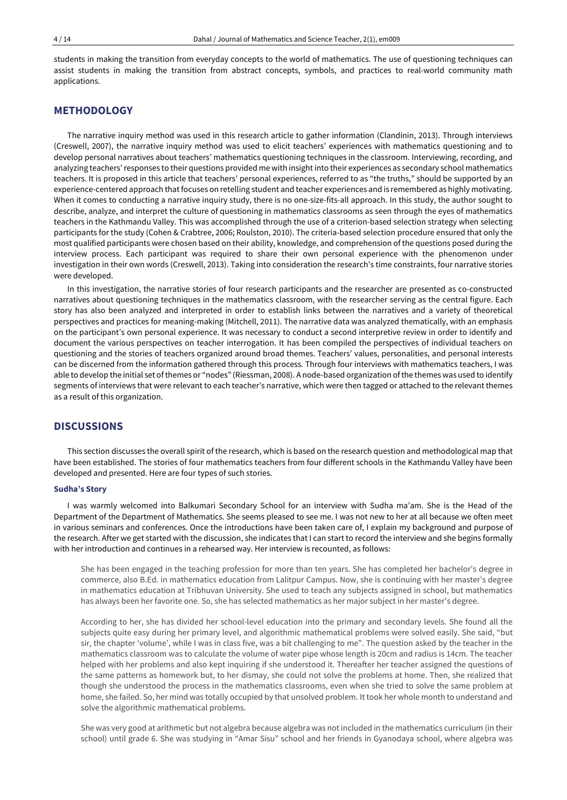students in making the transition from everyday concepts to the world of mathematics. The use of questioning techniques can assist students in making the transition from abstract concepts, symbols, and practices to real-world community math applications.

## **METHODOLOGY**

The narrative inquiry method was used in this research article to gather information (Clandinin, 2013). Through interviews (Creswell, 2007), the narrative inquiry method was used to elicit teachers' experiences with mathematics questioning and to develop personal narratives about teachers' mathematics questioning techniques in the classroom. Interviewing, recording, and analyzing teachers' responses to their questions provided me with insight into their experiences as secondary school mathematics teachers. It is proposed in this article that teachers' personal experiences, referred to as "the truths," should be supported by an experience-centered approach that focuses on retelling student and teacher experiences and is remembered as highly motivating. When it comes to conducting a narrative inquiry study, there is no one-size-fits-all approach. In this study, the author sought to describe, analyze, and interpret the culture of questioning in mathematics classrooms as seen through the eyes of mathematics teachers in the Kathmandu Valley. This was accomplished through the use of a criterion-based selection strategy when selecting participants for the study (Cohen & Crabtree, 2006; Roulston, 2010). The criteria-based selection procedure ensured that only the most qualified participants were chosen based on their ability, knowledge, and comprehension of the questions posed during the interview process. Each participant was required to share their own personal experience with the phenomenon under investigation in their own words (Creswell, 2013). Taking into consideration the research's time constraints, four narrative stories were developed.

In this investigation, the narrative stories of four research participants and the researcher are presented as co-constructed narratives about questioning techniques in the mathematics classroom, with the researcher serving as the central figure. Each story has also been analyzed and interpreted in order to establish links between the narratives and a variety of theoretical perspectives and practices for meaning-making (Mitchell, 2011). The narrative data was analyzed thematically, with an emphasis on the participant's own personal experience. It was necessary to conduct a second interpretive review in order to identify and document the various perspectives on teacher interrogation. It has been compiled the perspectives of individual teachers on questioning and the stories of teachers organized around broad themes. Teachers' values, personalities, and personal interests can be discerned from the information gathered through this process. Through four interviews with mathematics teachers, I was able to develop the initial set ofthemes or "nodes" (Riessman, 2008). A node-based organization ofthe themes was used to identify segments of interviews that were relevant to each teacher's narrative, which were then tagged or attached to the relevant themes as a result of this organization.

## **DISCUSSIONS**

This section discusses the overall spirit of the research, which is based on the research question and methodological map that have been established. The stories of four mathematics teachers from four different schools in the Kathmandu Valley have been developed and presented. Here are four types of such stories.

#### **Sudha's Story**

I was warmly welcomed into Balkumari Secondary School for an interview with Sudha ma'am. She is the Head of the Department of the Department of Mathematics. She seems pleased to see me. I was not new to her at all because we often meet in various seminars and conferences. Once the introductions have been taken care of, I explain my background and purpose of the research. After we get started with the discussion, she indicates that I can start to record the interview and she begins formally with her introduction and continues in a rehearsed way. Her interview is recounted, as follows:

She has been engaged in the teaching profession for more than ten years. She has completed her bachelor's degree in commerce, also B.Ed. in mathematics education from Lalitpur Campus. Now, she is continuing with her master's degree in mathematics education at Tribhuvan University. She used to teach any subjects assigned in school, but mathematics has always been her favorite one. So, she has selected mathematics as her major subject in her master's degree.

According to her, she has divided her school-level education into the primary and secondary levels. She found all the subjects quite easy during her primary level, and algorithmic mathematical problems were solved easily. She said, "but sir, the chapter 'volume', while I was in class five, was a bit challenging to me". The question asked by the teacher in the mathematics classroom was to calculate the volume of water pipe whose length is 20cm and radius is 14cm. The teacher helped with her problems and also kept inquiring if she understood it. Thereafter her teacher assigned the questions of the same patterns as homework but, to her dismay, she could not solve the problems at home. Then, she realized that though she understood the process in the mathematics classrooms, even when she tried to solve the same problem at home, she failed. So, her mind was totally occupied by that unsolved problem. It took her whole month to understand and solve the algorithmic mathematical problems.

She was very good at arithmetic but not algebra because algebra was not included in the mathematics curriculum (in their school) until grade 6. She was studying in "Amar Sisu" school and her friends in Gyanodaya school, where algebra was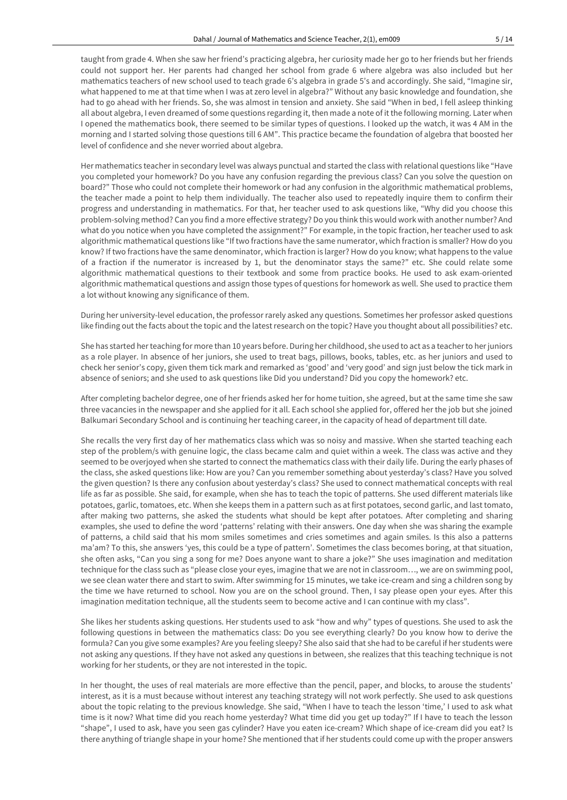taught from grade 4. When she saw her friend's practicing algebra, her curiosity made her go to her friends but her friends could not support her. Her parents had changed her school from grade 6 where algebra was also included but her mathematics teachers of new school used to teach grade 6's algebra in grade 5's and accordingly. She said, "Imagine sir, what happened to me at that time when I was at zero level in algebra?" Without any basic knowledge and foundation, she had to go ahead with her friends. So, she was almost in tension and anxiety. She said "When in bed, I fell asleep thinking all about algebra, I even dreamed of some questions regarding it, then made a note of it the following morning. Later when I opened the mathematics book, there seemed to be similar types of questions. I looked up the watch, it was 4 AM in the morning and I started solving those questions till 6 AM". This practice became the foundation of algebra that boosted her level of confidence and she never worried about algebra.

Her mathematics teacher in secondary level was always punctual and started the class with relational questions like "Have you completed your homework? Do you have any confusion regarding the previous class? Can you solve the question on board?" Those who could not complete their homework or had any confusion in the algorithmic mathematical problems, the teacher made a point to help them individually. The teacher also used to repeatedly inquire them to confirm their progress and understanding in mathematics. For that, her teacher used to ask questions like, "Why did you choose this problem-solving method? Can you find a more effective strategy? Do you think this would work with another number? And what do you notice when you have completed the assignment?" For example, in the topic fraction, her teacher used to ask algorithmic mathematical questions like "If two fractions have the same numerator, which fraction is smaller? How do you know? If two fractions have the same denominator, which fraction is larger? How do you know; what happens to the value of a fraction if the numerator is increased by 1, but the denominator stays the same?" etc. She could relate some algorithmic mathematical questions to their textbook and some from practice books. He used to ask exam-oriented algorithmic mathematical questions and assign those types of questions for homework as well. She used to practice them a lot without knowing any significance of them.

During her university-level education, the professor rarely asked any questions. Sometimes her professor asked questions like finding out the facts about the topic and the latestresearch on the topic? Have you thought about all possibilities? etc.

She has started herteaching for more than 10 years before. During her childhood, she used to act as a teacherto herjuniors as a role player. In absence of her juniors, she used to treat bags, pillows, books, tables, etc. as her juniors and used to check her senior's copy, given them tick mark and remarked as 'good' and 'very good' and sign just below the tick mark in absence of seniors; and she used to ask questions like Did you understand? Did you copy the homework? etc.

After completing bachelor degree, one of her friends asked her for home tuition, she agreed, but at the same time she saw three vacancies in the newspaper and she applied for it all. Each school she applied for, offered her the job but she joined Balkumari Secondary School and is continuing her teaching career, in the capacity of head of department till date.

She recalls the very first day of her mathematics class which was so noisy and massive. When she started teaching each step of the problem/s with genuine logic, the class became calm and quiet within a week. The class was active and they seemed to be overjoyed when she started to connect the mathematics class with their daily life. During the early phases of the class, she asked questions like: How are you? Can you remember something about yesterday's class? Have you solved the given question? Is there any confusion about yesterday's class? She used to connect mathematical concepts with real life as far as possible. She said, for example, when she has to teach the topic of patterns. She used different materials like potatoes, garlic, tomatoes, etc. When she keeps them in a pattern such as at first potatoes, second garlic, and last tomato, after making two patterns, she asked the students what should be kept after potatoes. After completing and sharing examples, she used to define the word 'patterns' relating with their answers. One day when she was sharing the example of patterns, a child said that his mom smiles sometimes and cries sometimes and again smiles. Is this also a patterns ma'am? To this, she answers 'yes, this could be a type of pattern'. Sometimes the class becomes boring, at that situation, she often asks, "Can you sing a song for me? Does anyone want to share a joke?" She uses imagination and meditation technique for the class such as "please close your eyes, imagine that we are not in classroom…, we are on swimming pool, we see clean water there and start to swim. After swimming for 15 minutes, we take ice-cream and sing a children song by the time we have returned to school. Now you are on the school ground. Then, I say please open your eyes. After this imagination meditation technique, all the students seem to become active and I can continue with my class".

She likes her students asking questions. Her students used to ask "how and why" types of questions. She used to ask the following questions in between the mathematics class: Do you see everything clearly? Do you know how to derive the formula? Can you give some examples? Are you feeling sleepy? She also said that she had to be careful if her students were not asking any questions. If they have not asked any questions in between, she realizes that this teaching technique is not working for her students, or they are not interested in the topic.

In her thought, the uses of real materials are more effective than the pencil, paper, and blocks, to arouse the students' interest, as it is a must because without interest any teaching strategy will not work perfectly. She used to ask questions about the topic relating to the previous knowledge. She said, "When I have to teach the lesson 'time,' I used to ask what time is it now? What time did you reach home yesterday? What time did you get up today?" If I have to teach the lesson "shape", I used to ask, have you seen gas cylinder? Have you eaten ice-cream? Which shape of ice-cream did you eat? Is there anything of triangle shape in your home? She mentioned that if her students could come up with the proper answers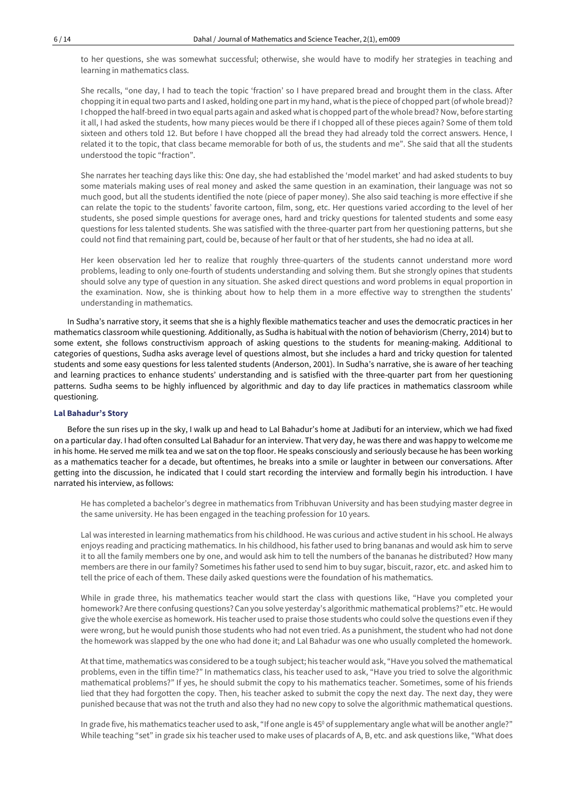to her questions, she was somewhat successful; otherwise, she would have to modify her strategies in teaching and learning in mathematics class.

She recalls, "one day, I had to teach the topic 'fraction' so I have prepared bread and brought them in the class. After chopping it in equal two parts and I asked, holding one part in my hand, what is the piece of chopped part (of whole bread)? I chopped the half-breed in two equal parts again and asked what is chopped part ofthe whole bread? Now, before starting it all, I had asked the students, how many pieces would be there if I chopped all of these pieces again? Some of them told sixteen and others told 12. But before I have chopped all the bread they had already told the correct answers. Hence, I related it to the topic, that class became memorable for both of us, the students and me". She said that all the students understood the topic "fraction".

She narrates her teaching days like this: One day, she had established the 'model market' and had asked students to buy some materials making uses of real money and asked the same question in an examination, their language was not so much good, but all the students identified the note (piece of paper money). She also said teaching is more effective if she can relate the topic to the students' favorite cartoon, film, song, etc. Her questions varied according to the level of her students, she posed simple questions for average ones, hard and tricky questions for talented students and some easy questions for less talented students. She was satisfied with the three-quarter part from her questioning patterns, but she could not find that remaining part, could be, because of her fault or that of her students, she had no idea at all.

Her keen observation led her to realize that roughly three-quarters of the students cannot understand more word problems, leading to only one-fourth of students understanding and solving them. But she strongly opines that students should solve any type of question in any situation. She asked direct questions and word problems in equal proportion in the examination. Now, she is thinking about how to help them in a more effective way to strengthen the students' understanding in mathematics.

In Sudha's narrative story, it seems that she is a highly flexible mathematics teacher and uses the democratic practices in her mathematics classroom while questioning. Additionally, as Sudha is habitual with the notion of behaviorism (Cherry, 2014) but to some extent, she follows constructivism approach of asking questions to the students for meaning-making. Additional to categories of questions, Sudha asks average level of questions almost, but she includes a hard and tricky question for talented students and some easy questions for less talented students (Anderson, 2001). In Sudha's narrative, she is aware of her teaching and learning practices to enhance students' understanding and is satisfied with the three-quarter part from her questioning patterns. Sudha seems to be highly influenced by algorithmic and day to day life practices in mathematics classroom while questioning.

## **Lal Bahadur's Story**

Before the sun rises up in the sky, I walk up and head to Lal Bahadur's home at Jadibuti for an interview, which we had fixed on a particular day. I had often consulted Lal Bahadur for an interview. That very day, he was there and was happy to welcome me in his home. He served me milk tea and we sat on the top floor. He speaks consciously and seriously because he has been working as a mathematics teacher for a decade, but oftentimes, he breaks into a smile or laughter in between our conversations. After getting into the discussion, he indicated that I could start recording the interview and formally begin his introduction. I have narrated his interview, as follows:

He has completed a bachelor's degree in mathematics from Tribhuvan University and has been studying master degree in the same university. He has been engaged in the teaching profession for 10 years.

Lal was interested in learning mathematics from his childhood. He was curious and active student in his school. He always enjoys reading and practicing mathematics. In his childhood, his father used to bring bananas and would ask him to serve it to all the family members one by one, and would ask him to tell the numbers of the bananas he distributed? How many members are there in our family? Sometimes his father used to send him to buy sugar, biscuit, razor, etc. and asked him to tell the price of each of them. These daily asked questions were the foundation of his mathematics.

While in grade three, his mathematics teacher would start the class with questions like, "Have you completed your homework? Are there confusing questions? Can you solve yesterday's algorithmic mathematical problems?" etc.He would give the whole exercise as homework. His teacher used to praise those students who could solve the questions even if they were wrong, but he would punish those students who had not even tried. As a punishment, the student who had not done the homework was slapped by the one who had done it; and Lal Bahadur was one who usually completed the homework.

Atthattime, mathematics was considered to be a tough subject; his teacher would ask, "Have you solved the mathematical problems, even in the tiffin time?" In mathematics class, his teacher used to ask, "Have you tried to solve the algorithmic mathematical problems?" If yes, he should submit the copy to his mathematics teacher. Sometimes, some of his friends lied that they had forgotten the copy. Then, his teacher asked to submit the copy the next day. The next day, they were punished because that was not the truth and also they had no new copy to solve the algorithmic mathematical questions.

In grade five, his mathematics teacher used to ask, "If one angle is 45<sup>0</sup> of supplementary angle what will be another angle?" While teaching "set" in grade six his teacher used to make uses of placards of A, B, etc. and ask questions like, "What does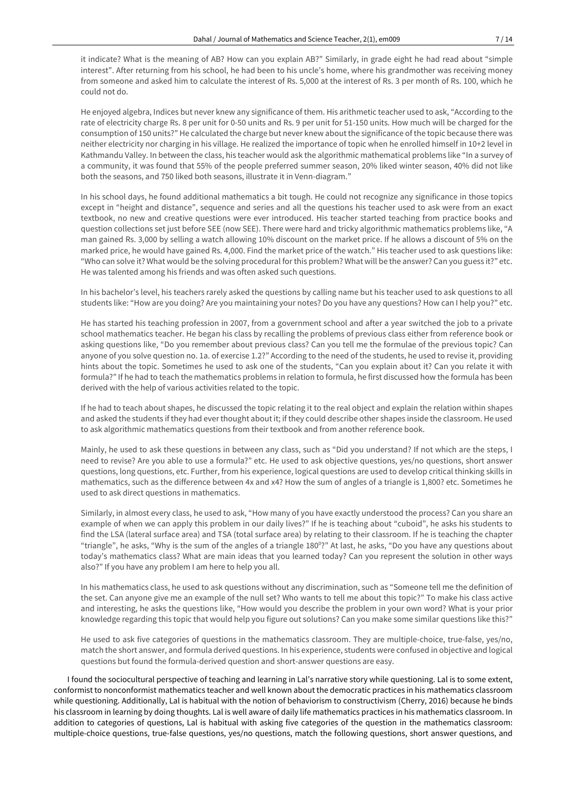it indicate? What is the meaning of AB? How can you explain AB?" Similarly, in grade eight he had read about "simple interest". After returning from his school, he had been to his uncle's home, where his grandmother was receiving money from someone and asked him to calculate the interest of Rs. 5,000 at the interest of Rs. 3 per month of Rs. 100, which he could not do.

He enjoyed algebra, Indices but never knew any significance of them. His arithmetic teacher used to ask, "According to the rate of electricity charge Rs. 8 per unit for 0-50 units and Rs. 9 per unit for 51-150 units. How much will be charged for the consumption of 150 units?" He calculated the charge but never knew about the significance of the topic because there was neither electricity nor charging in his village. He realized the importance of topic when he enrolled himself in 10+2 level in Kathmandu Valley. In between the class, his teacher would ask the algorithmic mathematical problems like "In a survey of a community, it was found that 55% of the people preferred summer season, 20% liked winter season, 40% did not like both the seasons, and 750 liked both seasons, illustrate it in Venn-diagram."

In his school days, he found additional mathematics a bit tough. He could not recognize any significance in those topics except in "height and distance", sequence and series and all the questions his teacher used to ask were from an exact textbook, no new and creative questions were ever introduced. His teacher started teaching from practice books and question collections set just before SEE (now SEE). There were hard and tricky algorithmic mathematics problems like, "A man gained Rs. 3,000 by selling a watch allowing 10% discount on the market price. If he allows a discount of 5% on the marked price, he would have gained Rs. 4,000. Find the market price of the watch." His teacher used to ask questions like: "Who can solve it? What would be the solving procedural for this problem? What will be the answer? Can you guess it?" etc. He was talented among his friends and was often asked such questions.

In his bachelor's level, his teachers rarely asked the questions by calling name but his teacher used to ask questions to all students like: "How are you doing? Are you maintaining your notes? Do you have any questions? How can I help you?" etc.

He has started his teaching profession in 2007, from a government school and after a year switched the job to a private school mathematics teacher. He began his class by recalling the problems of previous class either from reference book or asking questions like, "Do you remember about previous class? Can you tell me the formulae of the previous topic? Can anyone of you solve question no. 1a. of exercise 1.2?" According to the need of the students, he used to revise it, providing hints about the topic. Sometimes he used to ask one of the students, "Can you explain about it? Can you relate it with formula?" If he had to teach the mathematics problems in relation to formula, he first discussed how the formula has been derived with the help of various activities related to the topic.

If he had to teach about shapes, he discussed the topic relating it to the real object and explain the relation within shapes and asked the students if they had everthought about it; if they could describe other shapes inside the classroom. He used to ask algorithmic mathematics questions from their textbook and from another reference book.

Mainly, he used to ask these questions in between any class, such as "Did you understand? If not which are the steps, I need to revise? Are you able to use a formula?" etc. He used to ask objective questions, yes/no questions, short answer questions, long questions, etc. Further, from his experience, logical questions are used to develop critical thinking skills in mathematics, such as the difference between 4x and x4? How the sum of angles of a triangle is 1,800? etc. Sometimes he used to ask direct questions in mathematics.

Similarly, in almost every class, he used to ask, "How many of you have exactly understood the process? Can you share an example of when we can apply this problem in our daily lives?" If he is teaching about "cuboid", he asks his students to find the LSA (lateral surface area) and TSA (total surface area) by relating to their classroom. If he is teaching the chapter "triangle", he asks, "Why is the sum of the angles of a triangle 180°?" At last, he asks, "Do you have any questions about today's mathematics class? What are main ideas that you learned today? Can you represent the solution in other ways also?" If you have any problem I am here to help you all.

In his mathematics class, he used to ask questions without any discrimination, such as "Someone tell me the definition of the set. Can anyone give me an example of the null set? Who wants to tell me about this topic?" To make his class active and interesting, he asks the questions like, "How would you describe the problem in your own word? What is your prior knowledge regarding this topic that would help you figure out solutions? Can you make some similar questions like this?"

He used to ask five categories of questions in the mathematics classroom. They are multiple-choice, true-false, yes/no, match the short answer, and formula derived questions. In his experience, students were confused in objective and logical questions but found the formula-derived question and short-answer questions are easy.

I found the sociocultural perspective of teaching and learning in Lal's narrative story while questioning. Lal is to some extent, conformist to nonconformist mathematics teacher and well known about the democratic practices in his mathematics classroom while questioning. Additionally, Lal is habitual with the notion of behaviorism to constructivism (Cherry, 2016) because he binds his classroom in learning by doing thoughts. Lal is well aware of daily life mathematics practices in his mathematics classroom. In addition to categories of questions, Lal is habitual with asking five categories of the question in the mathematics classroom: multiple-choice questions, true-false questions, yes/no questions, match the following questions, short answer questions, and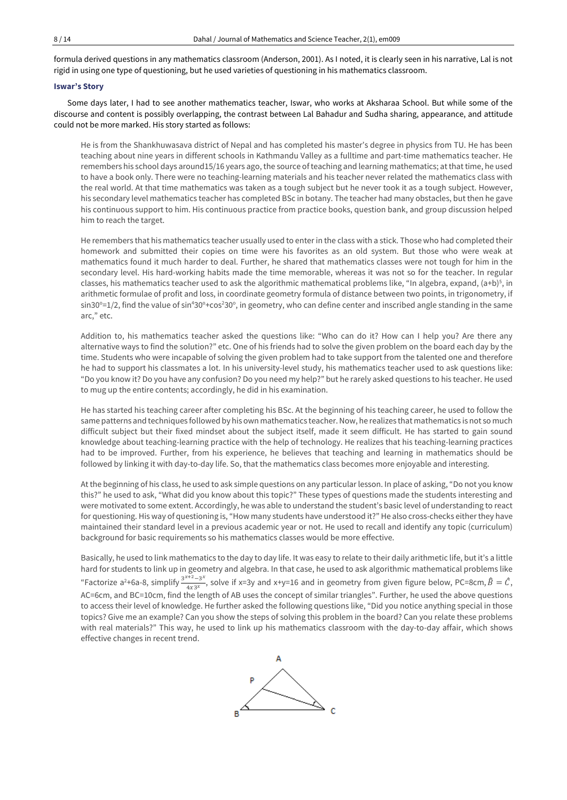formula derived questions in any mathematics classroom (Anderson, 2001). As I noted, it is clearly seen in his narrative, Lal is not rigid in using one type of questioning, but he used varieties of questioning in his mathematics classroom.

### **Iswar's Story**

Some days later, I had to see another mathematics teacher, Iswar, who works at Aksharaa School. But while some of the discourse and content is possibly overlapping, the contrast between Lal Bahadur and Sudha sharing, appearance, and attitude could not be more marked. His story started as follows:

He is from the Shankhuwasava district of Nepal and has completed his master's degree in physics from TU. He has been teaching about nine years in different schools in Kathmandu Valley as a fulltime and part-time mathematics teacher. He remembers his school days around15/16 years ago, the source of teaching and learning mathematics; at that time, he used to have a book only. There were no teaching-learning materials and his teacher never related the mathematics class with the real world. At that time mathematics was taken as a tough subject but he never took it as a tough subject. However, his secondary level mathematics teacher has completed BSc in botany. The teacher had many obstacles, but then he gave his continuous support to him. His continuous practice from practice books, question bank, and group discussion helped him to reach the target.

He remembers that his mathematics teacher usually used to enter in the class with a stick. Those who had completed their homework and submitted their copies on time were his favorites as an old system. But those who were weak at mathematics found it much harder to deal. Further, he shared that mathematics classes were not tough for him in the secondary level. His hard-working habits made the time memorable, whereas it was not so for the teacher. In regular classes, his mathematics teacher used to ask the algorithmic mathematical problems like, "In algebra, expand,  $(a+b)^5$ , in arithmetic formulae of profit and loss, in coordinate geometry formula of distance between two points, in trigonometry, if sin30°=1/2, find the value of sin<sup>4</sup>30°+cos<sup>2</sup>30°, in geometry, who can define center and inscribed angle standing in the same arc," etc.

Addition to, his mathematics teacher asked the questions like: "Who can do it? How can I help you? Are there any alternative ways to find the solution?" etc. One of his friends had to solve the given problem on the board each day by the time. Students who were incapable of solving the given problem had to take support from the talented one and therefore he had to support his classmates a lot. In his university-level study, his mathematics teacher used to ask questions like: "Do you know it? Do you have any confusion? Do you need my help?" but he rarely asked questions to his teacher. He used to mug up the entire contents; accordingly, he did in his examination.

He has started his teaching career after completing his BSc. At the beginning of his teaching career, he used to follow the same patterns and techniques followed by his own mathematics teacher. Now, he realizes that mathematics is not so much difficult subject but their fixed mindset about the subject itself, made it seem difficult. He has started to gain sound knowledge about teaching-learning practice with the help of technology. He realizes that his teaching-learning practices had to be improved. Further, from his experience, he believes that teaching and learning in mathematics should be followed by linking it with day-to-day life. So, that the mathematics class becomes more enjoyable and interesting.

Atthe beginning of his class, he used to ask simple questions on any particular lesson. In place of asking, "Do not you know this?" he used to ask, "What did you know about this topic?" These types of questions made the students interesting and were motivated to some extent. Accordingly, he was able to understand the student's basic level of understanding to react for questioning. His way of questioning is, "How many students have understood it?" He also cross-checks either they have maintained their standard level in a previous academic year or not. He used to recall and identify any topic (curriculum) background for basic requirements so his mathematics classes would be more effective.

Basically, he used to link mathematics to the day to day life. It was easy to relate to their daily arithmetic life, but it's a little hard for students to link up in geometry and algebra. In that case, he used to ask algorithmic mathematical problems like "Factorize a<sup>2</sup>+6a-8, simplify  $\frac{3^{x+2}-3^x}{4x^2}$  $\frac{4x-3^x}{4x3^x}$ , solve if x=3y and x+y=16 and in geometry from given figure below, PC=8cm,  $\hat{B} = \hat{C}$ , AC=6cm, and BC=10cm, find the length of AB uses the concept of similar triangles". Further, he used the above questions to access their level of knowledge. He further asked the following questions like, "Did you notice anything special in those topics? Give me an example? Can you show the steps of solving this problem in the board? Can you relate these problems with real materials?" This way, he used to link up his mathematics classroom with the day-to-day affair, which shows effective changes in recent trend.

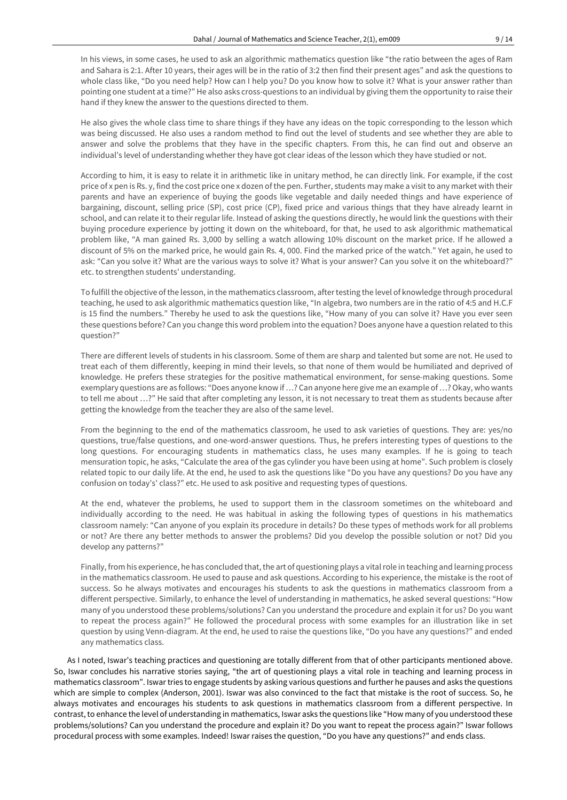In his views, in some cases, he used to ask an algorithmic mathematics question like "the ratio between the ages of Ram and Sahara is 2:1. After 10 years, their ages will be in the ratio of 3:2 then find their present ages" and ask the questions to whole class like, "Do you need help? How can I help you? Do you know how to solve it? What is your answer rather than pointing one student at a time?" He also asks cross-questions to an individual by giving them the opportunity to raise their hand if they knew the answer to the questions directed to them.

He also gives the whole class time to share things if they have any ideas on the topic corresponding to the lesson which was being discussed. He also uses a random method to find out the level of students and see whether they are able to answer and solve the problems that they have in the specific chapters. From this, he can find out and observe an individual's level of understanding whether they have got clear ideas of the lesson which they have studied or not.

According to him, it is easy to relate it in arithmetic like in unitary method, he can directly link. For example, if the cost price of x pen is Rs. y, find the cost price one x dozen of the pen. Further, students may make a visit to any market with their parents and have an experience of buying the goods like vegetable and daily needed things and have experience of bargaining, discount, selling price (SP), cost price (CP), fixed price and various things that they have already learnt in school, and can relate it to their regular life. Instead of asking the questions directly, he would link the questions with their buying procedure experience by jotting it down on the whiteboard, for that, he used to ask algorithmic mathematical problem like, "A man gained Rs. 3,000 by selling a watch allowing 10% discount on the market price. If he allowed a discount of 5% on the marked price, he would gain Rs. 4, 000. Find the marked price of the watch." Yet again, he used to ask: "Can you solve it? What are the various ways to solve it? What is your answer? Can you solve it on the whiteboard?" etc. to strengthen students' understanding.

To fulfill the objective of the lesson, in the mathematics classroom, aftertesting the level of knowledge through procedural teaching, he used to ask algorithmic mathematics question like, "In algebra, two numbers are in the ratio of 4:5 and H.C.F is 15 find the numbers." Thereby he used to ask the questions like, "How many of you can solve it? Have you ever seen these questions before? Can you change this word problem into the equation? Does anyone have a question related to this question?"

There are different levels of students in his classroom. Some of them are sharp and talented but some are not. He used to treat each of them differently, keeping in mind their levels, so that none of them would be humiliated and deprived of knowledge. He prefers these strategies for the positive mathematical environment, for sense-making questions. Some exemplary questions are as follows: "Does anyone know if …? Can anyone here give me an example of …?Okay, who wants to tell me about …?" He said that after completing any lesson, it is not necessary to treat them as students because after getting the knowledge from the teacher they are also of the same level.

From the beginning to the end of the mathematics classroom, he used to ask varieties of questions. They are: yes/no questions, true/false questions, and one-word-answer questions. Thus, he prefers interesting types of questions to the long questions. For encouraging students in mathematics class, he uses many examples. If he is going to teach mensuration topic, he asks, "Calculate the area of the gas cylinder you have been using at home". Such problem is closely related topic to our daily life. At the end, he used to ask the questions like "Do you have any questions? Do you have any confusion on today's' class?" etc. He used to ask positive and requesting types of questions.

At the end, whatever the problems, he used to support them in the classroom sometimes on the whiteboard and individually according to the need. He was habitual in asking the following types of questions in his mathematics classroom namely: "Can anyone of you explain its procedure in details? Do these types of methods work for all problems or not? Are there any better methods to answer the problems? Did you develop the possible solution or not? Did you develop any patterns?"

Finally, from his experience, he has concluded that, the art of questioning plays a vital role in teaching and learning process in the mathematics classroom. He used to pause and ask questions. According to his experience, the mistake is the root of success. So he always motivates and encourages his students to ask the questions in mathematics classroom from a different perspective. Similarly, to enhance the level of understanding in mathematics, he asked several questions: "How many of you understood these problems/solutions? Can you understand the procedure and explain it for us? Do you want to repeat the process again?" He followed the procedural process with some examples for an illustration like in set question by using Venn-diagram. At the end, he used to raise the questions like, "Do you have any questions?" and ended any mathematics class.

As I noted, Iswar's teaching practices and questioning are totally different from that of other participants mentioned above. So, Iswar concludes his narrative stories saying, "the art of questioning plays a vital role in teaching and learning process in mathematics classroom". Iswar tries to engage students by asking various questions and further he pauses and asks the questions which are simple to complex (Anderson, 2001). Iswar was also convinced to the fact that mistake is the root of success. So, he always motivates and encourages his students to ask questions in mathematics classroom from a different perspective. In contrast, to enhance the level of understanding in mathematics, Iswar asks the questions like "How many of you understood these problems/solutions? Can you understand the procedure and explain it? Do you want to repeat the process again?" Iswar follows procedural process with some examples. Indeed! Iswar raises the question, "Do you have any questions?" and ends class.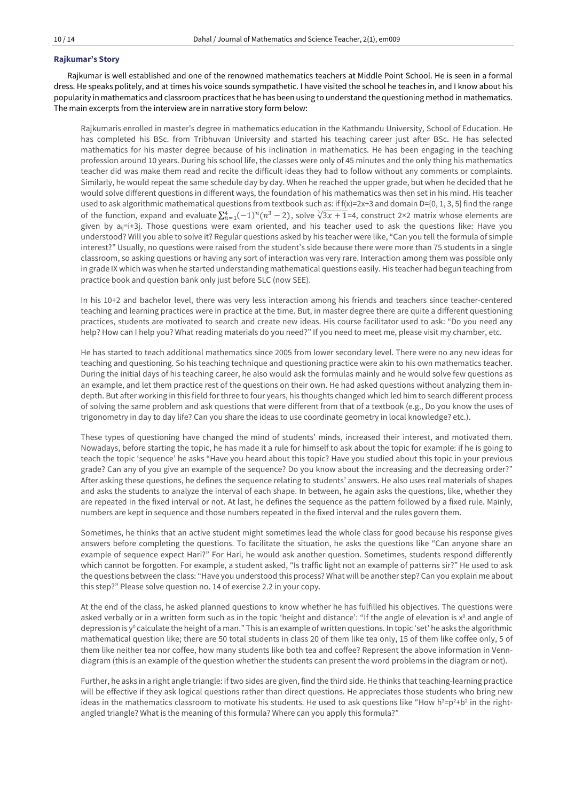## **Rajkumar's Story**

Rajkumar is well established and one of the renowned mathematics teachers at Middle Point School. He is seen in a formal dress. He speaks politely, and at times his voice sounds sympathetic. I have visited the school he teaches in, and I know about his popularity in mathematics and classroom practices that he has been using to understand the questioning method in mathematics. The main excerpts from the interview are in narrative story form below:

Rajkumaris enrolled in master's degree in mathematics education in the Kathmandu University, School of Education. He has completed his BSc. from Tribhuvan University and started his teaching career just after BSc. He has selected mathematics for his master degree because of his inclination in mathematics. He has been engaging in the teaching profession around 10 years. During his school life, the classes were only of 45 minutes and the only thing his mathematics teacher did was make them read and recite the difficult ideas they had to follow without any comments or complaints. Similarly, he would repeat the same schedule day by day. When he reached the upper grade, but when he decided that he would solve different questions in different ways, the foundation of his mathematics was then set in his mind. His teacher used to ask algorithmic mathematical questions from textbook such as: if  $f(x)=2x+3$  and domain D={0, 1, 3, 5} find the range of the function, expand and evaluate  $\sum_{n=1}^{4} (-1)^n (n^3 - 2)$ , solve  $\sqrt[3]{3x+1}$ =4, construct 2×2 matrix whose elements are given by a<sub>ij</sub>=i+3j. Those questions were exam oriented, and his teacher used to ask the questions like: Have you understood? Will you able to solve it? Regular questions asked by his teacher were like, "Can you tell the formula of simple interest?" Usually, no questions were raised from the student's side because there were more than 75 students in a single classroom, so asking questions or having any sort of interaction was very rare. Interaction among them was possible only in grade IX which was when he started understanding mathematical questions easily. His teacher had begun teaching from practice book and question bank only just before SLC (now SEE).

In his 10+2 and bachelor level, there was very less interaction among his friends and teachers since teacher-centered teaching and learning practices were in practice at the time. But, in master degree there are quite a different questioning practices, students are motivated to search and create new ideas. His course facilitator used to ask: "Do you need any help? How can I help you? What reading materials do you need?" If you need to meet me, please visit my chamber, etc.

He has started to teach additional mathematics since 2005 from lower secondary level. There were no any new ideas for teaching and questioning. So his teaching technique and questioning practice were akin to his own mathematics teacher. During the initial days of his teaching career, he also would ask the formulas mainly and he would solve few questions as an example, and let them practice rest of the questions on their own. He had asked questions without analyzing them indepth. But after working in this field for three to four years, his thoughts changed which led him to search different process of solving the same problem and ask questions that were different from that of a textbook (e.g., Do you know the uses of trigonometry in day to day life? Can you share the ideas to use coordinate geometry in local knowledge? etc.).

These types of questioning have changed the mind of students' minds, increased their interest, and motivated them. Nowadays, before starting the topic, he has made it a rule for himself to ask about the topic for example: if he is going to teach the topic 'sequence' he asks "Have you heard about this topic? Have you studied about this topic in your previous grade? Can any of you give an example of the sequence? Do you know about the increasing and the decreasing order?" After asking these questions, he defines the sequence relating to students' answers. He also uses real materials of shapes and asks the students to analyze the interval of each shape. In between, he again asks the questions, like, whether they are repeated in the fixed interval or not. At last, he defines the sequence as the pattern followed by a fixed rule. Mainly, numbers are kept in sequence and those numbers repeated in the fixed interval and the rules govern them.

Sometimes, he thinks that an active student might sometimes lead the whole class for good because his response gives answers before completing the questions. To facilitate the situation, he asks the questions like "Can anyone share an example of sequence expect Hari?" For Hari, he would ask another question. Sometimes, students respond differently which cannot be forgotten. For example, a student asked, "Is traffic light not an example of patterns sir?" He used to ask the questions between the class: "Have you understood this process? What will be another step? Can you explain me about this step?" Please solve question no. 14 of exercise 2.2 in your copy.

At the end of the class, he asked planned questions to know whether he has fulfilled his objectives. The questions were asked verbally or in a written form such as in the topic 'height and distance': "If the angle of elevation is x<sup>0</sup> and angle of depression is y<sup>o</sup> calculate the height of a man." This is an example of written questions. In topic 'set' he asks the algorithmic mathematical question like; there are 50 total students in class 20 of them like tea only, 15 of them like coffee only, 5 of them like neither tea nor coffee, how many students like both tea and coffee? Represent the above information in Venndiagram (this is an example of the question whether the students can present the word problems in the diagram or not).

Further, he asks in a right angle triangle: if two sides are given, find the third side. He thinks that teaching-learning practice will be effective if they ask logical questions rather than direct questions. He appreciates those students who bring new ideas in the mathematics classroom to motivate his students. He used to ask questions like "How  $h^2 = p^2 + b^2$  in the rightangled triangle? What is the meaning of this formula? Where can you apply this formula?"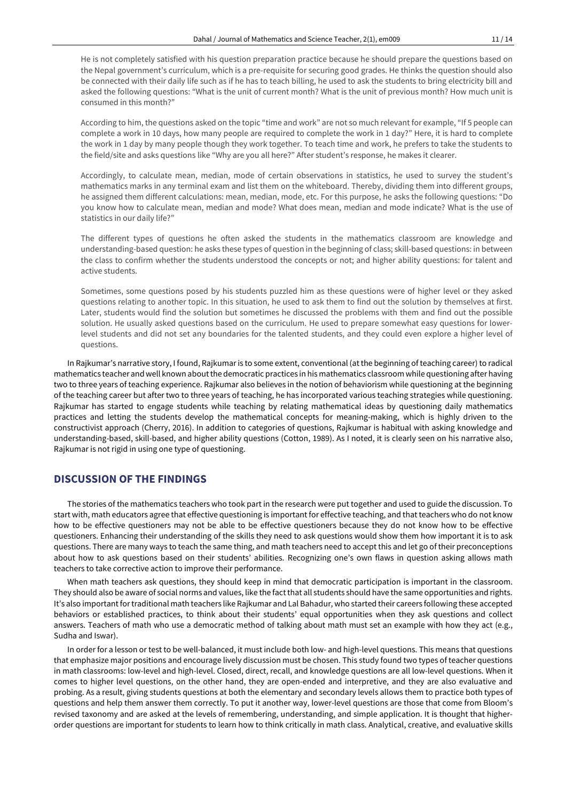He is not completely satisfied with his question preparation practice because he should prepare the questions based on the Nepal government's curriculum, which is a pre-requisite for securing good grades. He thinks the question should also be connected with their daily life such as if he has to teach billing, he used to ask the students to bring electricity bill and asked the following questions: "What is the unit of current month? What is the unit of previous month? How much unit is consumed in this month?"

According to him, the questions asked on the topic "time and work" are not so much relevant for example, "If 5 people can complete a work in 10 days, how many people are required to complete the work in 1 day?" Here, it is hard to complete the work in 1 day by many people though they work together. To teach time and work, he prefers to take the students to the field/site and asks questions like "Why are you all here?" After student's response, he makes it clearer.

Accordingly, to calculate mean, median, mode of certain observations in statistics, he used to survey the student's mathematics marks in any terminal exam and list them on the whiteboard. Thereby, dividing them into different groups, he assigned them different calculations: mean, median, mode, etc. For this purpose, he asks the following questions: "Do you know how to calculate mean, median and mode? What does mean, median and mode indicate? What is the use of statistics in our daily life?"

The different types of questions he often asked the students in the mathematics classroom are knowledge and understanding-based question: he asks these types of question in the beginning of class; skill-based questions: in between the class to confirm whether the students understood the concepts or not; and higher ability questions: for talent and active students.

Sometimes, some questions posed by his students puzzled him as these questions were of higher level or they asked questions relating to another topic. In this situation, he used to ask them to find out the solution by themselves at first. Later, students would find the solution but sometimes he discussed the problems with them and find out the possible solution. He usually asked questions based on the curriculum. He used to prepare somewhat easy questions for lowerlevel students and did not set any boundaries for the talented students, and they could even explore a higher level of questions.

In Rajkumar's narrative story, I found, Rajkumaris to some extent, conventional (atthe beginning of teaching career) to radical mathematics teacher and well known aboutthe democratic practices in his mathematics classroom while questioning after having two to three years of teaching experience. Rajkumar also believes in the notion of behaviorism while questioning at the beginning of the teaching career but after two to three years of teaching, he has incorporated various teaching strategies while questioning. Rajkumar has started to engage students while teaching by relating mathematical ideas by questioning daily mathematics practices and letting the students develop the mathematical concepts for meaning-making, which is highly driven to the constructivist approach (Cherry, 2016). In addition to categories of questions, Rajkumar is habitual with asking knowledge and understanding-based, skill-based, and higher ability questions (Cotton, 1989). As I noted, it is clearly seen on his narrative also, Rajkumar is not rigid in using one type of questioning.

## **DISCUSSION OF THE FINDINGS**

The stories of the mathematics teachers who took part in the research were put together and used to guide the discussion. To start with, math educators agree that effective questioning is important for effective teaching, and that teachers who do not know how to be effective questioners may not be able to be effective questioners because they do not know how to be effective questioners. Enhancing their understanding of the skills they need to ask questions would show them how important it is to ask questions. There are many ways to teach the same thing, and math teachers need to accept this and let go of their preconceptions about how to ask questions based on their students' abilities. Recognizing one's own flaws in question asking allows math teachers to take corrective action to improve their performance.

When math teachers ask questions, they should keep in mind that democratic participation is important in the classroom. They should also be aware of social norms and values, like the factthat all students should have the same opportunities and rights. It's also important for traditional math teachers like Rajkumar and Lal Bahadur, who started their careers following these accepted behaviors or established practices, to think about their students' equal opportunities when they ask questions and collect answers. Teachers of math who use a democratic method of talking about math must set an example with how they act (e.g., Sudha and Iswar).

In order for a lesson or test to be well-balanced, it must include both low- and high-level questions. This means that questions that emphasize major positions and encourage lively discussion must be chosen. This study found two types of teacher questions in math classrooms: low-level and high-level. Closed, direct, recall, and knowledge questions are all low-level questions. When it comes to higher level questions, on the other hand, they are open-ended and interpretive, and they are also evaluative and probing. As a result, giving students questions at both the elementary and secondary levels allows them to practice both types of questions and help them answer them correctly. To put it another way, lower-level questions are those that come from Bloom's revised taxonomy and are asked at the levels of remembering, understanding, and simple application. It is thought that higherorder questions are important for students to learn how to think critically in math class. Analytical, creative, and evaluative skills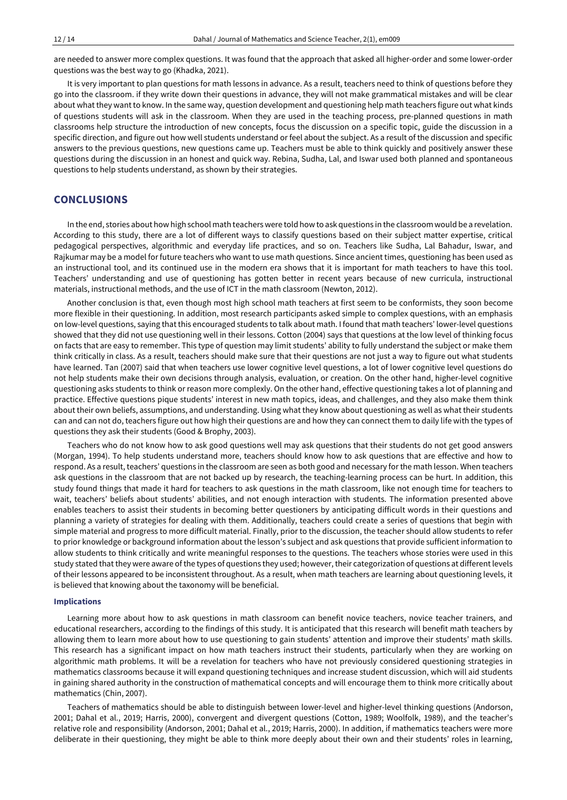are needed to answer more complex questions. It was found that the approach that asked all higher-order and some lower-order questions was the best way to go (Khadka, 2021).

It is very important to plan questions for math lessons in advance. As a result, teachers need to think of questions before they go into the classroom. if they write down their questions in advance, they will not make grammatical mistakes and will be clear about what they want to know. In the same way, question development and questioning help math teachers figure out what kinds of questions students will ask in the classroom. When they are used in the teaching process, pre-planned questions in math classrooms help structure the introduction of new concepts, focus the discussion on a specific topic, guide the discussion in a specific direction, and figure out how well students understand or feel about the subject. As a result of the discussion and specific answers to the previous questions, new questions came up. Teachers must be able to think quickly and positively answer these questions during the discussion in an honest and quick way. Rebina, Sudha, Lal, and Iswar used both planned and spontaneous questions to help students understand, as shown by their strategies.

## **CONCLUSIONS**

In the end, stories about how high school math teachers were told how to ask questions in the classroom would be a revelation. According to this study, there are a lot of different ways to classify questions based on their subject matter expertise, critical pedagogical perspectives, algorithmic and everyday life practices, and so on. Teachers like Sudha, Lal Bahadur, Iswar, and Rajkumar may be a model for future teachers who want to use math questions. Since ancient times, questioning has been used as an instructional tool, and its continued use in the modern era shows that it is important for math teachers to have this tool. Teachers' understanding and use of questioning has gotten better in recent years because of new curricula, instructional materials, instructional methods, and the use of ICT in the math classroom (Newton, 2012).

Another conclusion is that, even though most high school math teachers at first seem to be conformists, they soon become more flexible in their questioning. In addition, most research participants asked simple to complex questions, with an emphasis on low-level questions, saying that this encouraged students to talk about math. I found that math teachers' lower-level questions showed that they did not use questioning well in their lessons. Cotton (2004) says that questions at the low level of thinking focus on facts that are easy to remember. This type of question may limit students' ability to fully understand the subject or make them think critically in class. As a result, teachers should make sure that their questions are not just a way to figure out what students have learned. Tan (2007) said that when teachers use lower cognitive level questions, a lot of lower cognitive level questions do not help students make their own decisions through analysis, evaluation, or creation. On the other hand, higher-level cognitive questioning asks students to think or reason more complexly. On the other hand, effective questioning takes a lot of planning and practice. Effective questions pique students' interest in new math topics, ideas, and challenges, and they also make them think about their own beliefs, assumptions, and understanding. Using what they know about questioning as well as what their students can and can not do, teachers figure out how high their questions are and how they can connect them to daily life with the types of questions they ask their students (Good & Brophy, 2003).

Teachers who do not know how to ask good questions well may ask questions that their students do not get good answers (Morgan, 1994). To help students understand more, teachers should know how to ask questions that are effective and how to respond. As a result, teachers' questions in the classroom are seen as both good and necessary for the math lesson. When teachers ask questions in the classroom that are not backed up by research, the teaching-learning process can be hurt. In addition, this study found things that made it hard for teachers to ask questions in the math classroom, like not enough time for teachers to wait, teachers' beliefs about students' abilities, and not enough interaction with students. The information presented above enables teachers to assist their students in becoming better questioners by anticipating difficult words in their questions and planning a variety of strategies for dealing with them. Additionally, teachers could create a series of questions that begin with simple material and progress to more difficult material. Finally, prior to the discussion, the teacher should allow students to refer to prior knowledge or background information about the lesson's subject and ask questions that provide sufficient information to allow students to think critically and write meaningful responses to the questions. The teachers whose stories were used in this study stated that they were aware ofthe types of questions they used; however,their categorization of questions at differentlevels of their lessons appeared to be inconsistent throughout. As a result, when math teachers are learning about questioning levels, it is believed that knowing about the taxonomy will be beneficial.

### **Implications**

Learning more about how to ask questions in math classroom can benefit novice teachers, novice teacher trainers, and educational researchers, according to the findings of this study. It is anticipated that this research will benefit math teachers by allowing them to learn more about how to use questioning to gain students' attention and improve their students' math skills. This research has a significant impact on how math teachers instruct their students, particularly when they are working on algorithmic math problems. It will be a revelation for teachers who have not previously considered questioning strategies in mathematics classrooms because it will expand questioning techniques and increase student discussion, which will aid students in gaining shared authority in the construction of mathematical concepts and will encourage them to think more critically about mathematics (Chin, 2007).

Teachers of mathematics should be able to distinguish between lower-level and higher-level thinking questions (Andorson, 2001; Dahal et al., 2019; Harris, 2000), convergent and divergent questions (Cotton, 1989; Woolfolk, 1989), and the teacher's relative role and responsibility (Andorson, 2001; Dahal et al., 2019; Harris, 2000). In addition, if mathematics teachers were more deliberate in their questioning, they might be able to think more deeply about their own and their students' roles in learning,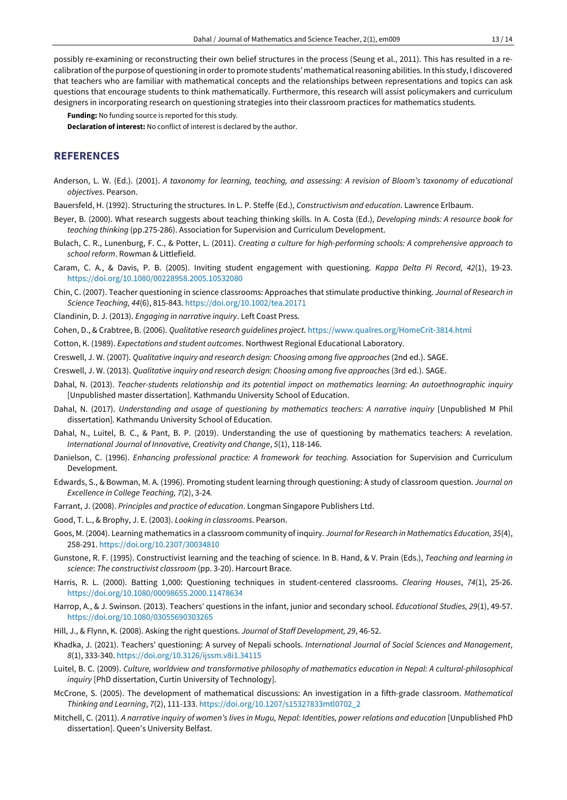possibly re-examining or reconstructing their own belief structures in the process (Seung et al., 2011). This has resulted in a recalibration ofthe purpose of questioning in orderto promote students' mathematicalreasoning abilities. In this study, I discovered that teachers who are familiar with mathematical concepts and the relationships between representations and topics can ask questions that encourage students to think mathematically. Furthermore, this research will assist policymakers and curriculum designers in incorporating research on questioning strategies into their classroom practices for mathematics students.

**Funding:** No funding source is reported for this study. **Declaration of interest:** No conflict of interest is declared by the author.

# **REFERENCES**

- Anderson, L. W. (Ed.). (2001). A taxonomy for learning, teaching, and assessing: A revision of Bloom's taxonomy of educational *objectives*. Pearson.
- Bauersfeld, H. (1992). Structuring the structures. In L. P. Steffe (Ed.), *Constructivism and education*. Lawrence Erlbaum.
- Beyer, B. (2000). What research suggests about teaching thinking skills. In A. Costa (Ed.), *Developing minds: A resource book for teaching thinking* (pp.275-286). Association for Supervision and Curriculum Development.
- Bulach, C. R., Lunenburg, F. C., & Potter, L. (2011). *Creating a culture for high-performing schools: A comprehensive approach to school reform*. Rowman & Littlefield.
- Caram, C. A., & Davis, P. B. (2005). Inviting student engagement with questioning. *Kappa Delta Pi Record, 42*(1), 19-23. <https://doi.org/10.1080/00228958.2005.10532080>
- Chin, C. (2007). Teacher questioning in science classrooms: Approaches that stimulate productive thinking. *Journal of Research in Science Teaching, 44*(6), 815-843. <https://doi.org/10.1002/tea.20171>
- Clandinin, D. J. (2013). *Engaging in narrative inquiry*. Left Coast Press.
- Cohen, D., & Crabtree, B. (2006). *Qualitative research guidelines project*. <https://www.qualres.org/HomeCrit-3814.html>
- Cotton, K. (1989). *Expectations and student outcomes*. Northwest Regional Educational Laboratory.
- Creswell, J. W. (2007). *Qualitative inquiry and research design: Choosing among five approaches* (2nd ed.). SAGE.
- Creswell, J. W. (2013). *Qualitative inquiry and research design: Choosing among five approaches* (3rd ed.). SAGE.
- Dahal, N. (2013). *Teacher-students relationship and its potential impact on mathematics learning: An autoethnographic inquiry* [Unpublished master dissertation]. Kathmandu University School of Education.
- Dahal, N. (2017). *Understanding and usage of questioning by mathematics teachers: A narrative inquiry* [Unpublished M Phil dissertation]*.* Kathmandu University School of Education.
- Dahal, N., Luitel, B. C., & Pant, B. P. (2019). Understanding the use of questioning by mathematics teachers: A revelation. *International Journal of Innovative, Creativity and Change*, *5*(1), 118-146.
- Danielson, C. (1996). *Enhancing professional practice: A framework for teaching.* Association for Supervision and Curriculum Development.
- Edwards, S., & Bowman, M. A. (1996). Promoting student learning through questioning: A study of classroom question. *Journal on Excellence in College Teaching, 7*(2), 3-24*.*
- Farrant, J. (2008). *Principles and practice of education*. Longman Singapore Publishers Ltd.
- Good, T. L., & Brophy, J. E. (2003). *Looking in classrooms*. Pearson.
- Goos, M. (2004). Learning mathematics in a classroom community of inquiry. *Journal for Research in Mathematics Education, 35*(4), 258-291. <https://doi.org/10.2307/30034810>
- Gunstone, R. F. (1995). Constructivist learning and the teaching of science. In B. Hand, & V. Prain (Eds.), *Teaching and learning in science*: *The constructivist classroom* (pp. 3-20). Harcourt Brace.
- Harris, R. L. (2000). Batting 1,000: Questioning techniques in student-centered classrooms. *Clearing Houses*, *74*(1), 25-26. <https://doi.org/10.1080/00098655.2000.11478634>
- Harrop, A., & J. Swinson. (2013). Teachers' questions in the infant, junior and secondary school. *Educational Studies, 29*(1), 49-57. <https://doi.org/10.1080/03055690303265>
- Hill, J., & Flynn, K. (2008). Asking the right questions. *Journal of Staff Development, 29*, 46-52.
- Khadka, J. (2021). Teachers' questioning: A survey of Nepali schools. *International Journal of Social Sciences and Management*, *8*(1), 333-340. <https://doi.org/10.3126/ijssm.v8i1.34115>
- Luitel, B. C. (2009). *Culture, worldview and transformative philosophy of mathematics education in Nepal: A cultural-philosophical inquiry* [PhD dissertation, Curtin University of Technology].
- McCrone, S. (2005). The development of mathematical discussions: An investigation in a fifth-grade classroom. *Mathematical Thinking and Learning*, *7*(2), 111-133. [https://doi.org/10.1207/s15327833mtl0702\\_2](https://doi.org/10.1207/s15327833mtl0702_2)
- Mitchell, C. (2011). A narrative inquiry of women's lives in Mugu, Nepal: Identities, power relations and education [Unpublished PhD dissertation]. Queen's University Belfast.